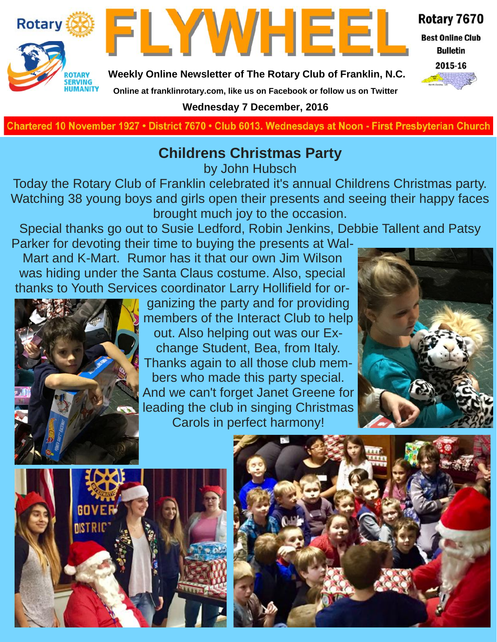



Rotary 7670

**Best Online Club Bulletin** 

2015-16

**Weekly Online Newsletter of The Rotary Club of Franklin, N.C.**

#### **Online at franklinrotary.com, like us on Facebook or follow us on Twitter**

**Wednesday 7 December, 2016**

Chartered 10 November 1927 • District 7670 • Club 6013. Wednesdays at Noon - First Presbyterian Church

## **Childrens Christmas Party**

by John Hubsch

Today the Rotary Club of Franklin celebrated it's annual Childrens Christmas party. Watching 38 young boys and girls open their presents and seeing their happy faces brought much joy to the occasion.

Special thanks go out to Susie Ledford, Robin Jenkins, Debbie Tallent and Patsy

Parker for devoting their time to buying the presents at Wal-Mart and K-Mart. Rumor has it that our own Jim Wilson was hiding under the Santa Claus costume. Also, special thanks to Youth Services coordinator Larry Hollifield for or-



ganizing the party and for providing members of the Interact Club to help out. Also helping out was our Exchange Student, Bea, from Italy. Thanks again to all those club members who made this party special. And we can't forget Janet Greene for leading the club in singing Christmas Carols in perfect harmony!





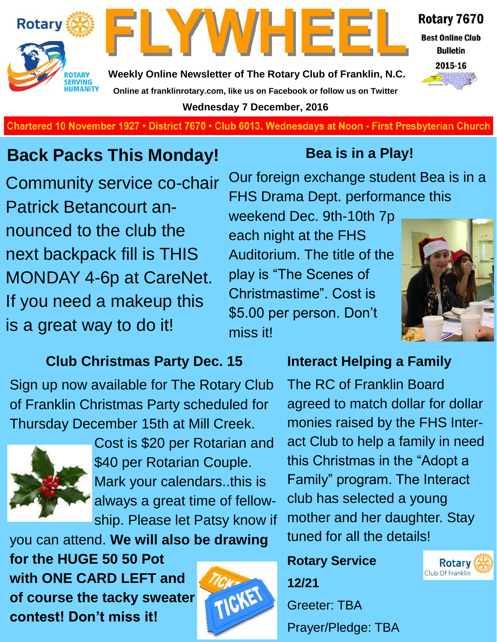



**Weekly Online Newsletter of The Rotary Club of Franklin, N.C. Online at franklinrotary.com, like us on Facebook or follow us on Twitter Wednesday 7 December, 2016**



**Best Online Club Bulletin** 2015-16



**Charted November 29, 1927 • District 7670 • Club 6013 Wednesdays at Noon - First Presbyterian Church**

## **Back Packs This Monday!**

Community service co-chair Patrick Betancourt announced to the club the next backpack fill is THIS MONDAY 4-6p at CareNet. If you need a makeup this is a great way to do it!

### **Club Christmas Party Dec. 15**

Sign up now available for The Rotary Club of Franklin Christmas Party scheduled for Thursday December 15th at Mill Creek.



Cost is \$20 per Rotarian and \$40 per Rotarian Couple. Mark your calendars..this is always a great time of fellowship. Please let Patsy know if

you can attend. **We will also be drawing for the HUGE 50 50 Pot with ONE CARD LEFT and of course the tacky sweater contest! Don't miss it!**



## **Bea is in a Play!**

Our foreign exchange student Bea is in a FHS Drama Dept. performance this

weekend Dec. 9th-10th 7p each night at the FHS Auditorium. The title of the play is "The Scenes of Christmastime". Cost is \$5.00 per person. Don't miss it!



### **Interact Helping a Family**

The RC of Franklin Board agreed to match dollar for dollar monies raised by the FHS Interact Club to help a family in need this Christmas in the "Adopt a Family" program. The Interact club has selected a young mother and her daughter. Stay tuned for all the details!

## **Rotary Service**

**12/21**

Greeter: TBA Prayer/Pledge: TBA

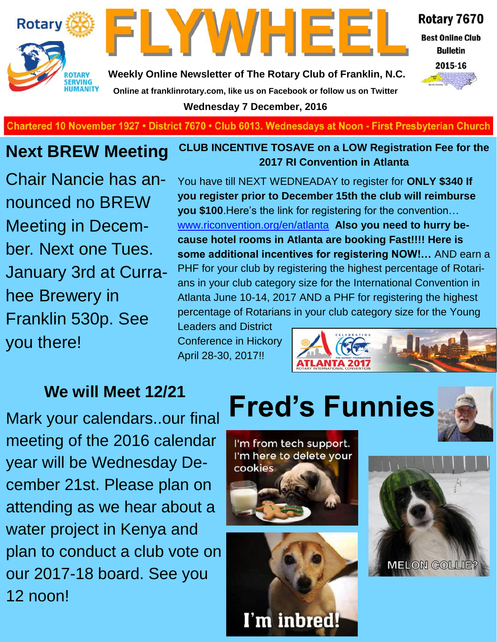



Rotary 7670

**Best Online Club Bulletin** 

2015-16

**Weekly Online Newsletter of The Rotary Club of Franklin, N.C. Online at franklinrotary.com, like us on Facebook or follow us on Twitter**

**Wednesday 7 December, 2016**

**Charted November 29, 1927 • District 7670 • Club 6013 Wednesdays at Noon - First Presbyterian Church**

## **Next BREW Meeting**

Chair Nancie has announced no BREW Meeting in December. Next one Tues. January 3rd at Currahee Brewery in Franklin 530p. See you there!

#### **CLUB INCENTIVE TOSAVE on a LOW Registration Fee for the 2017 RI Convention in Atlanta**

You have till NEXT WEDNEADAY to register for **ONLY \$340 If you register prior to December 15th the club will reimburse you \$100**.Here's the link for registering for the convention… [www.riconvention.org/en/atlanta](http://www.riconvention.org/en/atlanta) **Also you need to hurry because hotel rooms in Atlanta are booking Fast!!!! Here is some additional incentives for registering NOW!…** AND earn a PHF for your club by registering the highest percentage of Rotarians in your club category size for the International Convention in Atlanta June 10-14, 2017 AND a PHF for registering the highest percentage of Rotarians in your club category size for the Young

Leaders and District Conference in Hickory April 28-30, 2017!!



Mark your calendars..our final meeting of the 2016 calendar year will be Wednesday December 21st. Please plan on attending as we hear about a water project in Kenya and plan to conduct a club vote on our 2017-18 board. See you 12 noon!

# **We will Meet 12/21<br>Wour calendars our final Fred's Funnies**



I'm from tech support. I'm here to delete your cookies



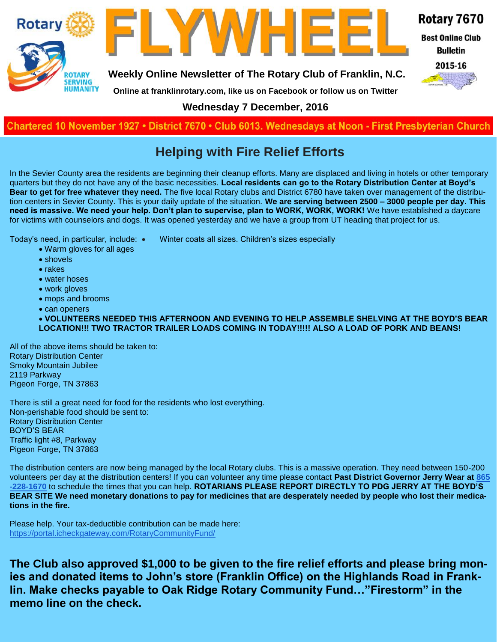



LYWHEE

Rotary 7670

**Best Online Club Bulletin** 

2015-16

**Online at franklinrotary.com, like us on Facebook or follow us on Twitter**

**Wednesday 7 December, 2016**

**Charted November 29, 1927 • District 7670 • Club 6013 Wednesdays at Noon - First Presbyterian Church**

#### **Helping with Fire Relief Efforts**

In the Sevier County area the residents are beginning their cleanup efforts. Many are displaced and living in hotels or other temporary quarters but they do not have any of the basic necessities. **Local residents can go to the Rotary Distribution Center at Boyd's Bear to get for free whatever they need.** The five local Rotary clubs and District 6780 have taken over management of the distribution centers in Sevier County. This is your daily update of the situation. **We are serving between 2500 – 3000 people per day. This need is massive. We need your help. Don't plan to supervise, plan to WORK, WORK, WORK!** We have established a daycare for victims with counselors and dogs. It was opened yesterday and we have a group from UT heading that project for us.

Today's need, in particular, include: • Winter coats all sizes. Children's sizes especially

- Warm gloves for all ages
- shovels
- $\bullet$  rakes
- water hoses
- work gloves
- mops and brooms
- can openers

 **VOLUNTEERS NEEDED THIS AFTERNOON AND EVENING TO HELP ASSEMBLE SHELVING AT THE BOYD'S BEAR LOCATION!!! TWO TRACTOR TRAILER LOADS COMING IN TODAY!!!!! ALSO A LOAD OF PORK AND BEANS!**

All of the above items should be taken to: Rotary Distribution Center Smoky Mountain Jubilee 2119 Parkway Pigeon Forge, TN 37863

There is still a great need for food for the residents who lost everything. Non-perishable food should be sent to: Rotary Distribution Center BOYD'S BEAR Traffic light #8, Parkway Pigeon Forge, TN 37863

The distribution centers are now being managed by the local Rotary clubs. This is a massive operation. They need between 150-200 volunteers per day at the distribution centers! If you can volunteer any time please contact **Past District Governor Jerry Wear at [865](tel:(865)%20228-1670) [-228-1670](tel:(865)%20228-1670)** to schedule the times that you can help. **ROTARIANS PLEASE REPORT DIRECTLY TO PDG JERRY AT THE BOYD'S BEAR SITE We need monetary donations to pay for medicines that are desperately needed by people who lost their medications in the fire.**

Please help. Your tax-deductible contribution can be made here: <https://portal.icheckgateway.com/RotaryCommunityFund/>

**The Club also approved \$1,000 to be given to the fire relief efforts and please bring monies and donated items to John's store (Franklin Office) on the Highlands Road in Franklin. Make checks payable to Oak Ridge Rotary Community Fund…"Firestorm" in the memo line on the check.**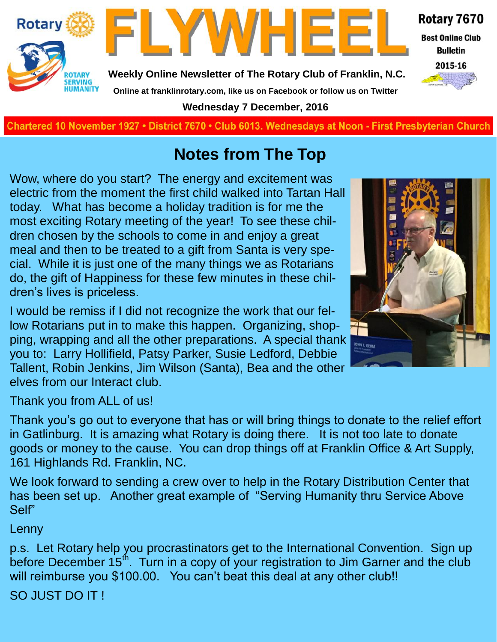

**Wednesday 7 December, 2016**

**Charted November 29, 1927 • District 7670 • Club 6013 Wednesdays at Noon - First Presbyterian Church**

## **Notes from The Top**

Wow, where do you start? The energy and excitement was electric from the moment the first child walked into Tartan Hall today. What has become a holiday tradition is for me the most exciting Rotary meeting of the year! To see these children chosen by the schools to come in and enjoy a great meal and then to be treated to a gift from Santa is very special. While it is just one of the many things we as Rotarians do, the gift of Happiness for these few minutes in these children's lives is priceless.

I would be remiss if I did not recognize the work that our fellow Rotarians put in to make this happen. Organizing, shopping, wrapping and all the other preparations. A special thank you to: Larry Hollifield, Patsy Parker, Susie Ledford, Debbie Tallent, Robin Jenkins, Jim Wilson (Santa), Bea and the other elves from our Interact club.



Thank you from ALL of us!

Thank you's go out to everyone that has or will bring things to donate to the relief effort in Gatlinburg. It is amazing what Rotary is doing there. It is not too late to donate goods or money to the cause. You can drop things off at Franklin Office & Art Supply, 161 Highlands Rd. Franklin, NC.

We look forward to sending a crew over to help in the Rotary Distribution Center that has been set up. Another great example of "Serving Humanity thru Service Above Self"

#### Lenny

p.s. Let Rotary help you procrastinators get to the International Convention. Sign up before December 15<sup>th</sup>. Turn in a copy of your registration to Jim Garner and the club will reimburse you \$100.00. You can't beat this deal at any other club!!

SO JUST DO IT !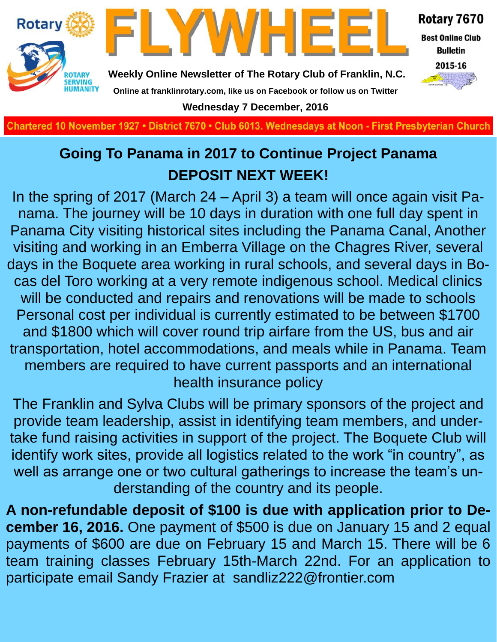

**Charted November 29, 1927 • District 7670 • Club 6013 Wednesdays at Noon - First Presbyterian Church**

## **Going To Panama in 2017 to Continue Project Panama DEPOSIT NEXT WEEK!**

In the spring of 2017 (March 24 – April 3) a team will once again visit Panama. The journey will be 10 days in duration with one full day spent in Panama City visiting historical sites including the Panama Canal, Another visiting and working in an Emberra Village on the Chagres River, several days in the Boquete area working in rural schools, and several days in Bocas del Toro working at a very remote indigenous school. Medical clinics will be conducted and repairs and renovations will be made to schools Personal cost per individual is currently estimated to be between \$1700 and \$1800 which will cover round trip airfare from the US, bus and air transportation, hotel accommodations, and meals while in Panama. Team members are required to have current passports and an international health insurance policy

The Franklin and Sylva Clubs will be primary sponsors of the project and provide team leadership, assist in identifying team members, and undertake fund raising activities in support of the project. The Boquete Club will identify work sites, provide all logistics related to the work "in country", as well as arrange one or two cultural gatherings to increase the team's understanding of the country and its people.

**A non-refundable deposit of \$100 is due with application prior to December 16, 2016.** One payment of \$500 is due on January 15 and 2 equal payments of \$600 are due on February 15 and March 15. There will be 6 team training classes February 15th-March 22nd. For an application to participate email Sandy Frazier at sandliz222@frontier.com